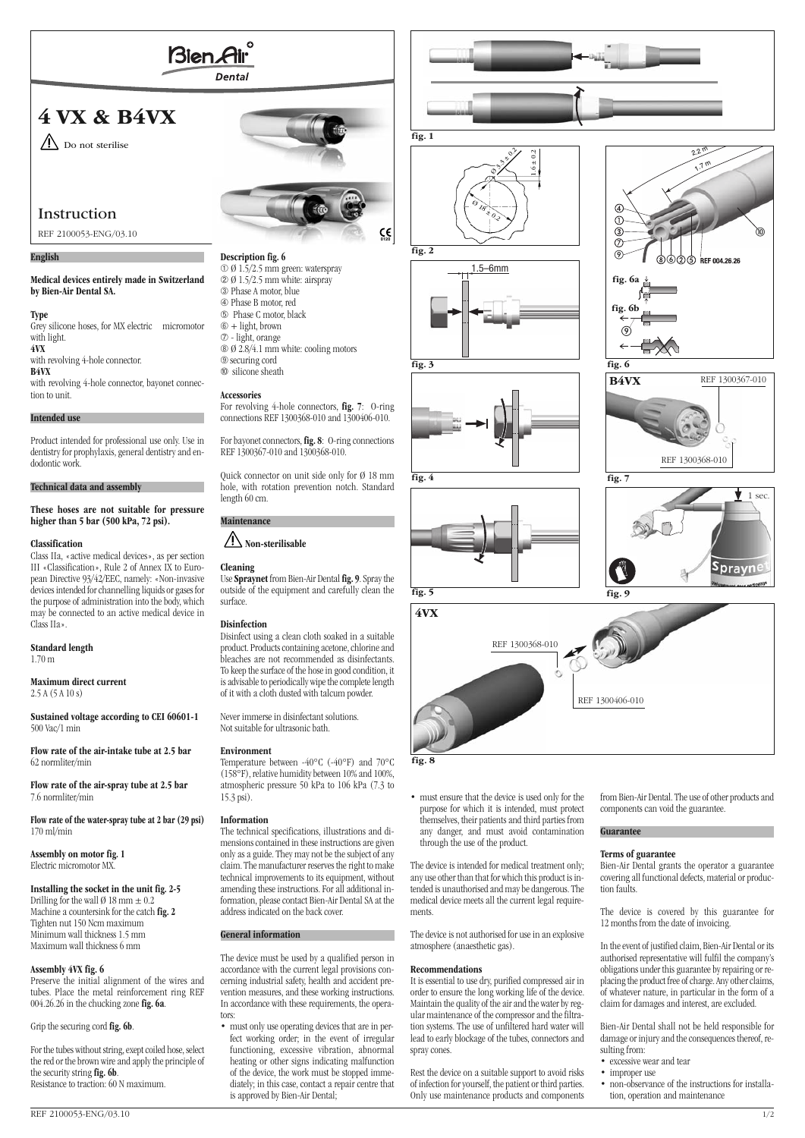

# **4 VX & B4VX**



# Instruction

REF 2100053-ENG/03.10

### **English**

#### **Medical devices entirely made in Switzerland by Bien-Air Dental SA.**

**Type**

Grey silicone hoses, for MX electric micromotor with light. **4VX** with revolving 4-hole connector. **B4VX** with revolving 4-hole connector, bayonet connec-

# tion to unit. **Intended use**

Product intended for professional use only. Use in dentistry for prophylaxis, general dentistry and endodontic work.

#### **Technical data and assembly**

**These hoses are not suitable for pressure higher than 5 bar (500 kPa, 72 psi).**

#### **Classification**

Class IIa, «active medical devices», as per section III «Classification», Rule 2 of Annex IX to European Directive 93/42/EEC, namely: «Non-invasive devices intended for channelling liquids or gases for the purpose of administration into the body, which may be connected to an active medical device in Class IIa».

#### **Standard length** 1.70 m

**Maximum direct current**

2.5 A (5 A 10 s)

**Sustained voltage according to CEI 60601-1** 500 Vac/1 min

**Flow rate of the air-intake tube at 2.5 bar** 62 normliter/min

**Flow rate of the air-spray tube at 2.5 bar** 7.6 normliter/min

**Flow rate of the water-spray tube at 2 bar (29 psi)** 170 ml/min

**Assembly on motor fig. 1** Electric micromotor MX.

# **Installing the socket in the unit fig. 2-5**

Drilling for the wall  $\varnothing$  18 mm  $\pm$  0.2 Machine a countersink for the catch **fig. 2** Tighten nut 150 Ncm maximum Minimum wall thickness 1.5 mm Maximum wall thickness 6 mm

#### **Assembly 4VX fig. 6**

Preserve the initial alignment of the wires and tubes. Place the metal reinforcement ring REF 004.26.26 in the chucking zone **fig. 6a**.

Grip the securing cord**fig. 6b**.

For the tubes without string, exept coiled hose, select the red or the brown wire and apply the principle of the security string**fig. 6b**. Resistance to traction: 60 N maximum.

#### **Description fig. 6** ➀ Ø 1.5/2.5 mm green: waterspray ➁ Ø 1.5/2.5 mm white: airspray ➂ Phase A motor, blue ➃ Phase B motor, red ➄ Phase C motor, black ➅ + light, brown ➆ - light, orange ➇ Ø 2.8/4.1 mm white: cooling motors

➈securing cord ➉ silicone sheath

#### **Accessories**

For revolving 4-hole connectors, **fig. 7**: O-ring connections REF 1300368-010 and 1300406-010.

For bayonet connectors, **fig. 8**: O-ring connections REF 1300367-010 and 1300368-010.

Quick connector on unit side only for Ø 18 mm hole, with rotation prevention notch. Standard length 60 cm.

# **Maintenance**

# **Non-sterilisable**

# **Cleaning**

Use **Spraynet** from Bien-Air Dental **fig. 9**. Spray the outside of the equipment and carefully clean the surface.

#### **Disinfection**

Disinfect using a clean cloth soaked in a suitable product. Products containing acetone, chlorine and bleaches are not recommended as disinfectants. To keep the surface of the hose in good condition, it is advisable to periodically wipe the complete length of it with a cloth dusted with talcum powder.

Never immerse in disinfectant solutions. Not suitable for ultrasonic bath.

#### **Environment**

Temperature between -40°C (-40°F) and 70°C (158°F), relative humidity between 10% and 100%, atmospheric pressure 50 kPa to 106 kPa (7.3 to 15.3 psi).

#### **Information**

The technical specifications, illustrations and dimensions contained in these instructions are given only as a guide. They may not be the subject of any claim. The manufacturer reserves the right to make technical improvements to its equipment, without amending these instructions. For all additional information, please contact Bien-Air Dental SA at the address indicated on the back cover.

#### **General information**

The device must be used by a qualified person in accordance with the current legal provisions concerning industrial safety, health and accident prevention measures, and these working instructions. In accordance with these requirements, the operators:

• must only use operating devices that are in perfect working order; in the event of irregular functioning, excessive vibration, abnormal heating or other signs indicating malfunction of the device, the work must be stopped immediately; in this case, contact a repair centre that is approved by Bien-Air Dental;













**fig. 6**





• must ensure that the device is used only for the purpose for which it is intended, must protect themselves, their patients and third parties from any danger, and must avoid contamination

through the use of the product.

The device is intended for medical treatment only; any use other than that for which this product is intended is unauthorised and may be dangerous. The medical device meets all the current legal requirements.

The device is not authorised for use in an explosive atmosphere (anaesthetic gas).

#### **Recommendations**

It is essential to use dry, purified compressed air in order to ensure the long working life of the device. Maintain the quality of the air and the water by regular maintenance of the compressor and the filtration systems. The use of unfiltered hard water will lead to early blockage of the tubes, connectors and spray cones.

Rest the device on a suitable support to avoid risks of infection for yourself, the patient or third parties. Only use maintenance products and components

from Bien-Air Dental. The use of other products and components can void the guarantee.

# **Guarantee**

#### **Terms of guarantee**

Bien-Air Dental grants the operator a guarantee covering all functional defects, material or production faults.

The device is covered by this guarantee for 12 months from the date of invoicing.

In the event of justified claim, Bien-Air Dental or its authorised representative will fulfil the company's obligations under this guarantee by repairing or replacing the product free of charge. Any other claims, of whatever nature, in particular in the form of a claim for damages and interest, are excluded.

Bien-Air Dental shall not be held responsible for damage or injury and the consequences thereof, resulting from:

- excessive wear and tear
- improper use
- non-observance of the instructions for installation, operation and maintenance